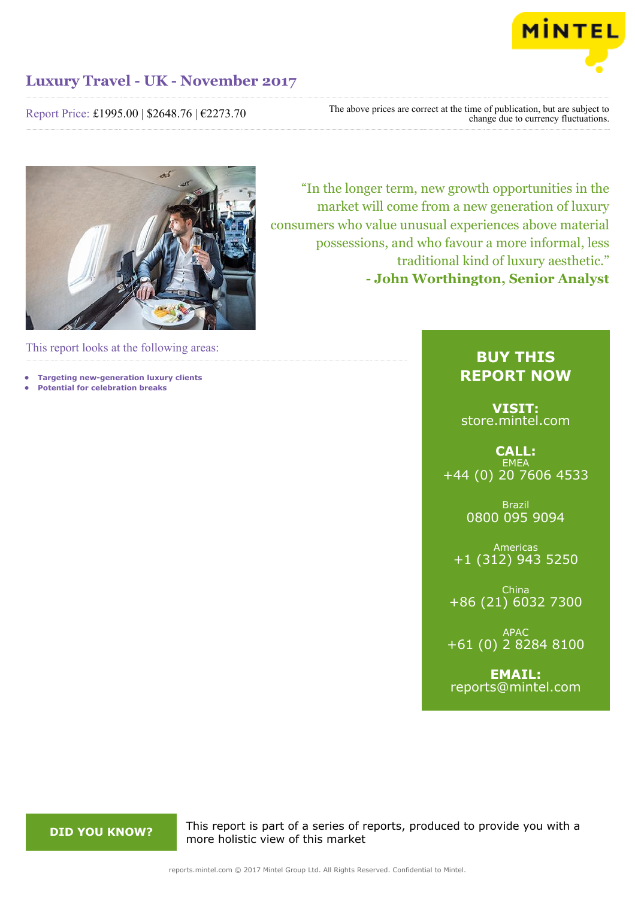

Report Price: £1995.00 | \$2648.76 | €2273.70

The above prices are correct at the time of publication, but are subject to change due to currency fluctuations.



This report looks at the following areas:

- **• Targeting new-generation luxury clients**
- **• Potential for celebration breaks**

"In the longer term, new growth opportunities in the market will come from a new generation of luxury consumers who value unusual experiences above material possessions, and who favour a more informal, less traditional kind of luxury aesthetic." **- John Worthington, Senior Analyst**

# **BUY THIS REPORT NOW**

**VISIT:** [store.mintel.com](http://reports.mintel.com//display/store/796265/)

**CALL: EMEA** +44 (0) 20 7606 4533

> Brazil 0800 095 9094

Americas +1 (312) 943 5250

China +86 (21) 6032 7300

APAC +61 (0) 2 8284 8100

**EMAIL:** [reports@mintel.com](mailto:reports@mintel.com)

**DID YOU KNOW?** This report is part of a series of reports, produced to provide you with a more holistic view of this market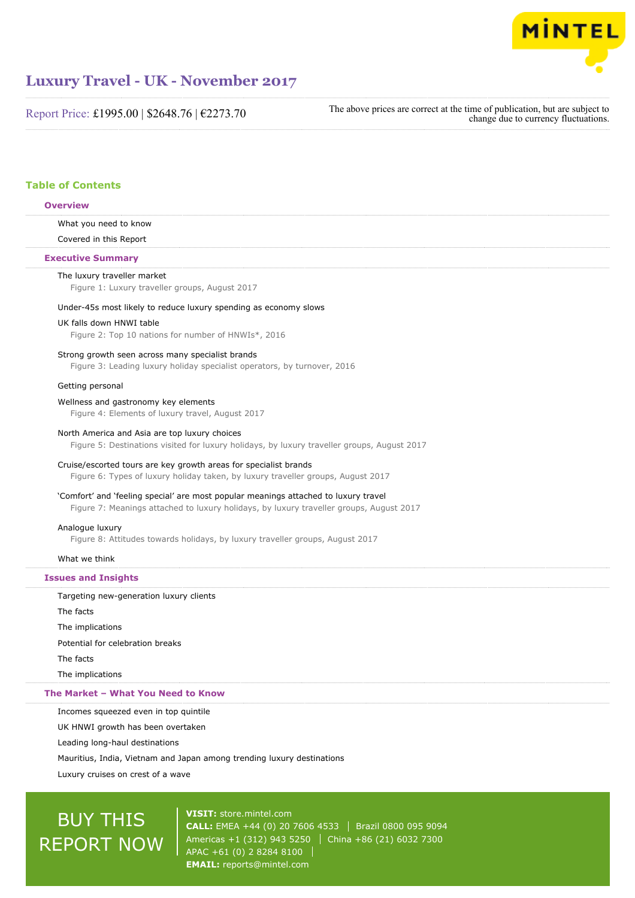

Report Price: £1995.00 | \$2648.76 | €2273.70

The above prices are correct at the time of publication, but are subject to change due to currency fluctuations.

# **Table of Contents**

# **Overview**

What you need to know

Covered in this Report

### **Executive Summary**

#### The luxury traveller market

Figure 1: Luxury traveller groups, August 2017

## Under-45s most likely to reduce luxury spending as economy slows

## UK falls down HNWI table

Figure 2: Top 10 nations for number of HNWIs\*, 2016

#### Strong growth seen across many specialist brands

Figure 3: Leading luxury holiday specialist operators, by turnover, 2016

#### Getting personal

## Wellness and gastronomy key elements

Figure 4: Elements of luxury travel, August 2017

#### North America and Asia are top luxury choices

Figure 5: Destinations visited for luxury holidays, by luxury traveller groups, August 2017

### Cruise/escorted tours are key growth areas for specialist brands

Figure 6: Types of luxury holiday taken, by luxury traveller groups, August 2017

# 'Comfort' and 'feeling special' are most popular meanings attached to luxury travel

Figure 7: Meanings attached to luxury holidays, by luxury traveller groups, August 2017

### Analogue luxury

Figure 8: Attitudes towards holidays, by luxury traveller groups, August 2017

# What we think

# **Issues and Insights**

Targeting new-generation luxury clients

The facts

The implications

Potential for celebration breaks

The facts

The implications

#### **The Market – What You Need to Know**

Incomes squeezed even in top quintile

UK HNWI growth has been overtaken

Leading long-haul destinations

Mauritius, India, Vietnam and Japan among trending luxury destinations

Luxury cruises on crest of a wave

# BUY THIS REPORT NOW

**VISIT:** [store.mintel.com](http://reports.mintel.com//display/store/796265/) **CALL:** EMEA +44 (0) 20 7606 4533 Brazil 0800 095 9094 Americas +1 (312) 943 5250 | China +86 (21) 6032 7300 APAC +61 (0) 2 8284 8100 **EMAIL:** [reports@mintel.com](mailto:reports@mintel.com)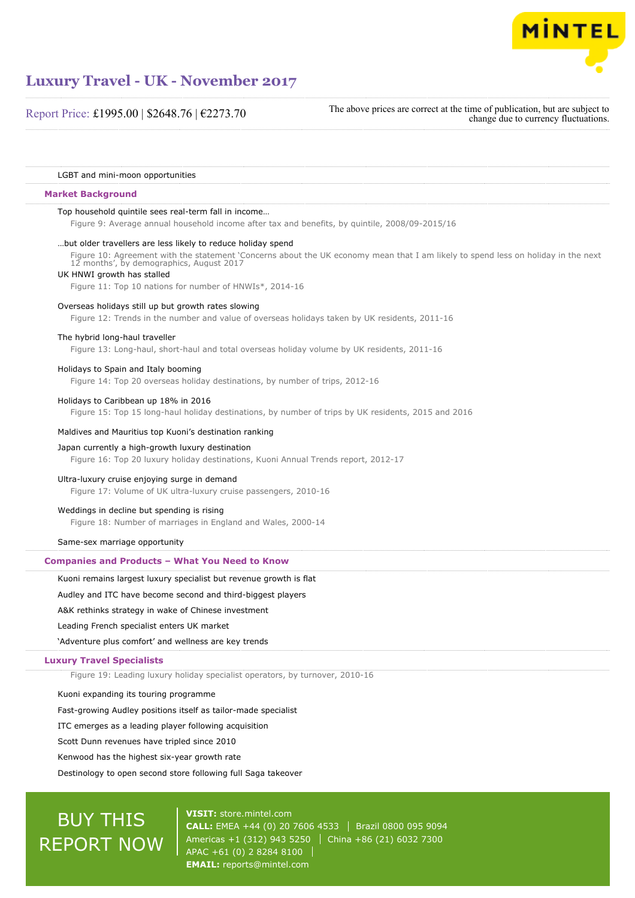

Report Price: £1995.00 | \$2648.76 | €2273.70

The above prices are correct at the time of publication, but are subject to change due to currency fluctuations.

LGBT and mini-moon opportunities

#### **Market Background**

#### Top household quintile sees real-term fall in income…

Figure 9: Average annual household income after tax and benefits, by quintile, 2008/09-2015/16

#### …but older travellers are less likely to reduce holiday spend

Figure 10: Agreement with the statement 'Concerns about the UK economy mean that I am likely to spend less on holiday in the next 12 months', by demographics, August 2017

# UK HNWI growth has stalled

Figure 11: Top 10 nations for number of HNWIs\*, 2014-16

#### Overseas holidays still up but growth rates slowing

Figure 12: Trends in the number and value of overseas holidays taken by UK residents, 2011-16

# The hybrid long-haul traveller

Figure 13: Long-haul, short-haul and total overseas holiday volume by UK residents, 2011-16

# Holidays to Spain and Italy booming

Figure 14: Top 20 overseas holiday destinations, by number of trips, 2012-16

#### Holidays to Caribbean up 18% in 2016

Figure 15: Top 15 long-haul holiday destinations, by number of trips by UK residents, 2015 and 2016

#### Maldives and Mauritius top Kuoni's destination ranking

# Japan currently a high-growth luxury destination

Figure 16: Top 20 luxury holiday destinations, Kuoni Annual Trends report, 2012-17

#### Ultra-luxury cruise enjoying surge in demand

Figure 17: Volume of UK ultra-luxury cruise passengers, 2010-16

#### Weddings in decline but spending is rising

Figure 18: Number of marriages in England and Wales, 2000-14

#### Same-sex marriage opportunity

# **Companies and Products – What You Need to Know**

Kuoni remains largest luxury specialist but revenue growth is flat

## Audley and ITC have become second and third-biggest players

A&K rethinks strategy in wake of Chinese investment

Leading French specialist enters UK market

'Adventure plus comfort' and wellness are key trends

#### **Luxury Travel Specialists**

Figure 19: Leading luxury holiday specialist operators, by turnover, 2010-16

Kuoni expanding its touring programme

Fast-growing Audley positions itself as tailor-made specialist

ITC emerges as a leading player following acquisition

Scott Dunn revenues have tripled since 2010

Kenwood has the highest six-year growth rate

Destinology to open second store following full Saga takeover

# BUY THIS REPORT NOW

**VISIT:** [store.mintel.com](http://reports.mintel.com//display/store/796265/) **CALL:** EMEA +44 (0) 20 7606 4533 Brazil 0800 095 9094 Americas +1 (312) 943 5250 | China +86 (21) 6032 7300 APAC +61 (0) 2 8284 8100 **EMAIL:** [reports@mintel.com](mailto:reports@mintel.com)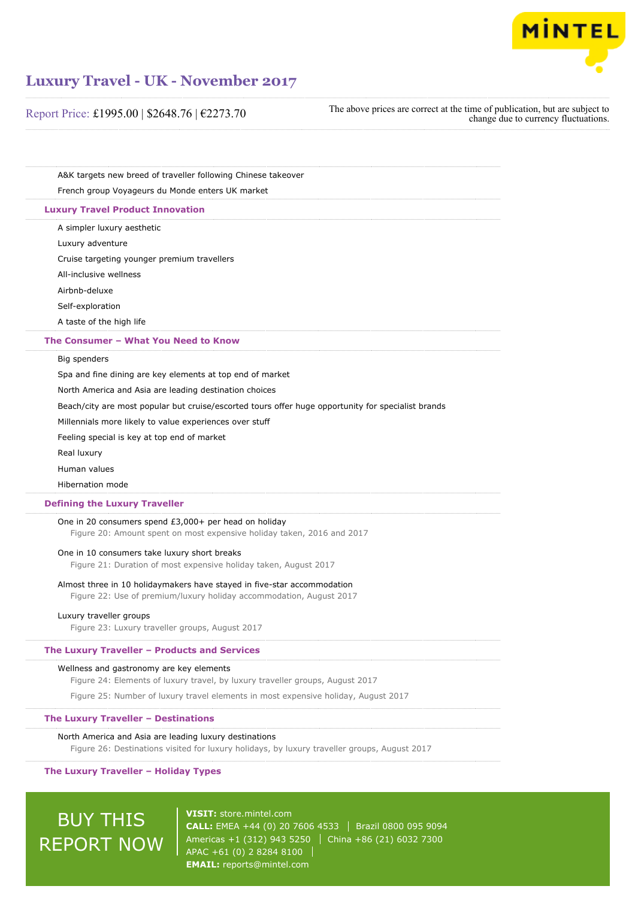

| Report Price: £1995.00   \$2648.76   €2273.70 |  |  |
|-----------------------------------------------|--|--|
|-----------------------------------------------|--|--|

The above prices are correct at the time of publication, but are subject to change due to currency fluctuations.

A&K targets new breed of traveller following Chinese takeover French group Voyageurs du Monde enters UK market

#### **Luxury Travel Product Innovation**

A simpler luxury aesthetic

Luxury adventure

Cruise targeting younger premium travellers

All-inclusive wellness

Airbnb-deluxe

Self-exploration

A taste of the high life

#### **The Consumer – What You Need to Know**

Big spenders

Spa and fine dining are key elements at top end of market

North America and Asia are leading destination choices

Beach/city are most popular but cruise/escorted tours offer huge opportunity for specialist brands

Millennials more likely to value experiences over stuff

Feeling special is key at top end of market

Real luxury

Human values

Hibernation mode

#### **Defining the Luxury Traveller**

One in 20 consumers spend £3,000+ per head on holiday

Figure 20: Amount spent on most expensive holiday taken, 2016 and 2017

# One in 10 consumers take luxury short breaks

Figure 21: Duration of most expensive holiday taken, August 2017

#### Almost three in 10 holidaymakers have stayed in five-star accommodation

Figure 22: Use of premium/luxury holiday accommodation, August 2017

## Luxury traveller groups

Figure 23: Luxury traveller groups, August 2017

# **The Luxury Traveller – Products and Services**

## Wellness and gastronomy are key elements

Figure 24: Elements of luxury travel, by luxury traveller groups, August 2017

Figure 25: Number of luxury travel elements in most expensive holiday, August 2017

# **The Luxury Traveller – Destinations**

#### North America and Asia are leading luxury destinations

Figure 26: Destinations visited for luxury holidays, by luxury traveller groups, August 2017

#### **The Luxury Traveller – Holiday Types**

# BUY THIS REPORT NOW

**VISIT:** [store.mintel.com](http://reports.mintel.com//display/store/796265/) **CALL:** EMEA +44 (0) 20 7606 4533 | Brazil 0800 095 9094 Americas +1 (312) 943 5250 | China +86 (21) 6032 7300 APAC +61 (0) 2 8284 8100 **EMAIL:** [reports@mintel.com](mailto:reports@mintel.com)